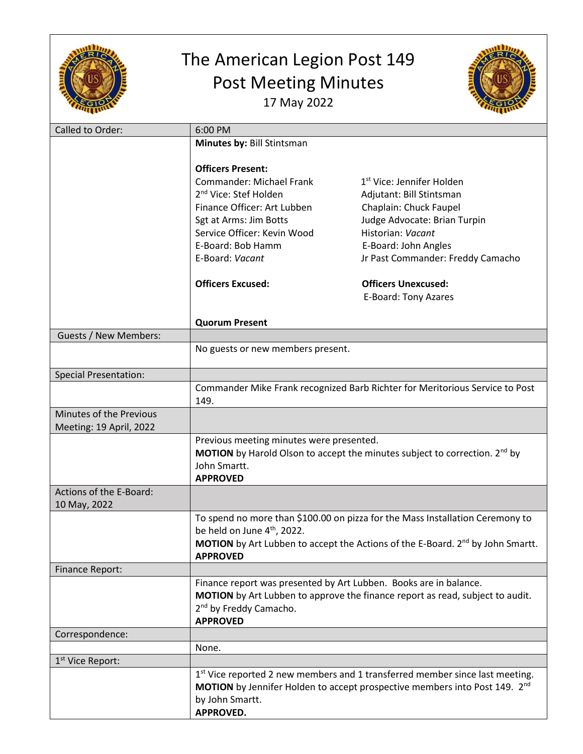

## The American Legion Post 149 Post Meeting Minutes 17 May 2022



| Called to Order:                        | 6:00 PM                                                                                                             |                                                                                            |  |
|-----------------------------------------|---------------------------------------------------------------------------------------------------------------------|--------------------------------------------------------------------------------------------|--|
|                                         | Minutes by: Bill Stintsman                                                                                          |                                                                                            |  |
|                                         |                                                                                                                     |                                                                                            |  |
|                                         | <b>Officers Present:</b>                                                                                            |                                                                                            |  |
|                                         | <b>Commander: Michael Frank</b>                                                                                     | 1 <sup>st</sup> Vice: Jennifer Holden                                                      |  |
|                                         | 2 <sup>nd</sup> Vice: Stef Holden                                                                                   | Adjutant: Bill Stintsman                                                                   |  |
|                                         | Finance Officer: Art Lubben                                                                                         | Chaplain: Chuck Faupel                                                                     |  |
|                                         | Sgt at Arms: Jim Botts                                                                                              | Judge Advocate: Brian Turpin                                                               |  |
|                                         | Service Officer: Kevin Wood                                                                                         | Historian: Vacant                                                                          |  |
|                                         | E-Board: Bob Hamm                                                                                                   | E-Board: John Angles                                                                       |  |
|                                         | E-Board: Vacant                                                                                                     | Jr Past Commander: Freddy Camacho                                                          |  |
|                                         | <b>Officers Excused:</b>                                                                                            | <b>Officers Unexcused:</b>                                                                 |  |
|                                         |                                                                                                                     | E-Board: Tony Azares                                                                       |  |
|                                         | <b>Quorum Present</b>                                                                                               |                                                                                            |  |
| Guests / New Members:                   |                                                                                                                     |                                                                                            |  |
|                                         | No guests or new members present.                                                                                   |                                                                                            |  |
| <b>Special Presentation:</b>            |                                                                                                                     |                                                                                            |  |
|                                         | Commander Mike Frank recognized Barb Richter for Meritorious Service to Post                                        |                                                                                            |  |
|                                         | 149.                                                                                                                |                                                                                            |  |
| Minutes of the Previous                 |                                                                                                                     |                                                                                            |  |
| Meeting: 19 April, 2022                 |                                                                                                                     |                                                                                            |  |
|                                         | Previous meeting minutes were presented.                                                                            |                                                                                            |  |
|                                         | <b>MOTION</b> by Harold Olson to accept the minutes subject to correction. $2^{nd}$ by                              |                                                                                            |  |
|                                         | John Smartt.                                                                                                        |                                                                                            |  |
|                                         | <b>APPROVED</b>                                                                                                     |                                                                                            |  |
| Actions of the E-Board:<br>10 May, 2022 |                                                                                                                     |                                                                                            |  |
|                                         | To spend no more than \$100.00 on pizza for the Mass Installation Ceremony to                                       |                                                                                            |  |
|                                         | be held on June 4 <sup>th</sup> , 2022.                                                                             |                                                                                            |  |
|                                         |                                                                                                                     | MOTION by Art Lubben to accept the Actions of the E-Board. 2 <sup>nd</sup> by John Smartt. |  |
|                                         | <b>APPROVED</b>                                                                                                     |                                                                                            |  |
| <b>Finance Report:</b>                  |                                                                                                                     |                                                                                            |  |
|                                         | Finance report was presented by Art Lubben. Books are in balance.                                                   |                                                                                            |  |
|                                         | MOTION by Art Lubben to approve the finance report as read, subject to audit.<br>2 <sup>nd</sup> by Freddy Camacho. |                                                                                            |  |
|                                         | <b>APPROVED</b>                                                                                                     |                                                                                            |  |
| Correspondence:                         |                                                                                                                     |                                                                                            |  |
|                                         | None.                                                                                                               |                                                                                            |  |
| 1 <sup>st</sup> Vice Report:            |                                                                                                                     |                                                                                            |  |
|                                         |                                                                                                                     | 1st Vice reported 2 new members and 1 transferred member since last meeting.               |  |
|                                         | MOTION by Jennifer Holden to accept prospective members into Post 149. 2 <sup>nd</sup>                              |                                                                                            |  |
|                                         | by John Smartt.                                                                                                     |                                                                                            |  |
|                                         | <b>APPROVED.</b>                                                                                                    |                                                                                            |  |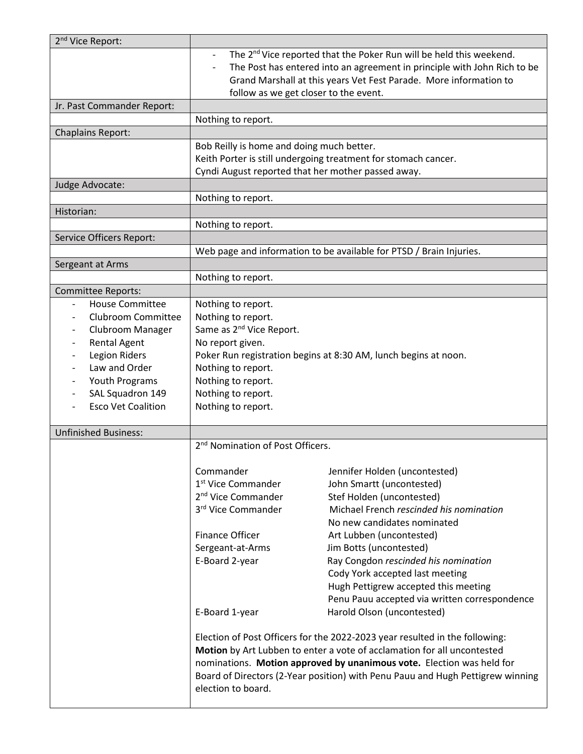| 2 <sup>nd</sup> Vice Report: |                                                                                                                                                         |                                                                                                                                                                                                                                  |  |
|------------------------------|---------------------------------------------------------------------------------------------------------------------------------------------------------|----------------------------------------------------------------------------------------------------------------------------------------------------------------------------------------------------------------------------------|--|
|                              | $\overline{\phantom{a}}$<br>follow as we get closer to the event.                                                                                       | The 2 <sup>nd</sup> Vice reported that the Poker Run will be held this weekend.<br>The Post has entered into an agreement in principle with John Rich to be<br>Grand Marshall at this years Vet Fest Parade. More information to |  |
| Jr. Past Commander Report:   |                                                                                                                                                         |                                                                                                                                                                                                                                  |  |
|                              | Nothing to report.                                                                                                                                      |                                                                                                                                                                                                                                  |  |
|                              |                                                                                                                                                         |                                                                                                                                                                                                                                  |  |
| <b>Chaplains Report:</b>     |                                                                                                                                                         |                                                                                                                                                                                                                                  |  |
|                              | Bob Reilly is home and doing much better.                                                                                                               |                                                                                                                                                                                                                                  |  |
|                              | Keith Porter is still undergoing treatment for stomach cancer.<br>Cyndi August reported that her mother passed away.                                    |                                                                                                                                                                                                                                  |  |
|                              |                                                                                                                                                         |                                                                                                                                                                                                                                  |  |
| Judge Advocate:              |                                                                                                                                                         |                                                                                                                                                                                                                                  |  |
|                              | Nothing to report.                                                                                                                                      |                                                                                                                                                                                                                                  |  |
| Historian:                   |                                                                                                                                                         |                                                                                                                                                                                                                                  |  |
|                              | Nothing to report.                                                                                                                                      |                                                                                                                                                                                                                                  |  |
| Service Officers Report:     |                                                                                                                                                         |                                                                                                                                                                                                                                  |  |
|                              |                                                                                                                                                         | Web page and information to be available for PTSD / Brain Injuries.                                                                                                                                                              |  |
| Sergeant at Arms             |                                                                                                                                                         |                                                                                                                                                                                                                                  |  |
|                              | Nothing to report.                                                                                                                                      |                                                                                                                                                                                                                                  |  |
| <b>Committee Reports:</b>    |                                                                                                                                                         |                                                                                                                                                                                                                                  |  |
| <b>House Committee</b>       | Nothing to report.                                                                                                                                      |                                                                                                                                                                                                                                  |  |
| <b>Clubroom Committee</b>    | Nothing to report.                                                                                                                                      |                                                                                                                                                                                                                                  |  |
| Clubroom Manager             | Same as 2 <sup>nd</sup> Vice Report.                                                                                                                    |                                                                                                                                                                                                                                  |  |
| <b>Rental Agent</b>          | No report given.                                                                                                                                        |                                                                                                                                                                                                                                  |  |
| Legion Riders                | Poker Run registration begins at 8:30 AM, lunch begins at noon.                                                                                         |                                                                                                                                                                                                                                  |  |
| Law and Order                | Nothing to report.                                                                                                                                      |                                                                                                                                                                                                                                  |  |
| Youth Programs               | Nothing to report.                                                                                                                                      |                                                                                                                                                                                                                                  |  |
| SAL Squadron 149             | Nothing to report.                                                                                                                                      |                                                                                                                                                                                                                                  |  |
| <b>Esco Vet Coalition</b>    | Nothing to report.                                                                                                                                      |                                                                                                                                                                                                                                  |  |
|                              |                                                                                                                                                         |                                                                                                                                                                                                                                  |  |
| <b>Unfinished Business:</b>  |                                                                                                                                                         |                                                                                                                                                                                                                                  |  |
|                              | 2 <sup>nd</sup> Nomination of Post Officers.                                                                                                            |                                                                                                                                                                                                                                  |  |
|                              |                                                                                                                                                         |                                                                                                                                                                                                                                  |  |
|                              | Commander                                                                                                                                               | Jennifer Holden (uncontested)                                                                                                                                                                                                    |  |
|                              | 1 <sup>st</sup> Vice Commander                                                                                                                          | John Smartt (uncontested)                                                                                                                                                                                                        |  |
|                              | 2 <sup>nd</sup> Vice Commander                                                                                                                          | Stef Holden (uncontested)                                                                                                                                                                                                        |  |
|                              | 3rd Vice Commander                                                                                                                                      | Michael French rescinded his nomination                                                                                                                                                                                          |  |
|                              |                                                                                                                                                         | No new candidates nominated                                                                                                                                                                                                      |  |
|                              | <b>Finance Officer</b>                                                                                                                                  | Art Lubben (uncontested)                                                                                                                                                                                                         |  |
|                              | Sergeant-at-Arms                                                                                                                                        | Jim Botts (uncontested)                                                                                                                                                                                                          |  |
|                              | E-Board 2-year                                                                                                                                          | Ray Congdon rescinded his nomination                                                                                                                                                                                             |  |
|                              |                                                                                                                                                         | Cody York accepted last meeting                                                                                                                                                                                                  |  |
|                              |                                                                                                                                                         | Hugh Pettigrew accepted this meeting                                                                                                                                                                                             |  |
|                              |                                                                                                                                                         | Penu Pauu accepted via written correspondence                                                                                                                                                                                    |  |
|                              | E-Board 1-year                                                                                                                                          | Harold Olson (uncontested)                                                                                                                                                                                                       |  |
|                              |                                                                                                                                                         |                                                                                                                                                                                                                                  |  |
|                              | Election of Post Officers for the 2022-2023 year resulted in the following:                                                                             |                                                                                                                                                                                                                                  |  |
|                              | Motion by Art Lubben to enter a vote of acclamation for all uncontested                                                                                 |                                                                                                                                                                                                                                  |  |
|                              | nominations. Motion approved by unanimous vote. Election was held for<br>Board of Directors (2-Year position) with Penu Pauu and Hugh Pettigrew winning |                                                                                                                                                                                                                                  |  |
|                              | election to board.                                                                                                                                      |                                                                                                                                                                                                                                  |  |
|                              |                                                                                                                                                         |                                                                                                                                                                                                                                  |  |